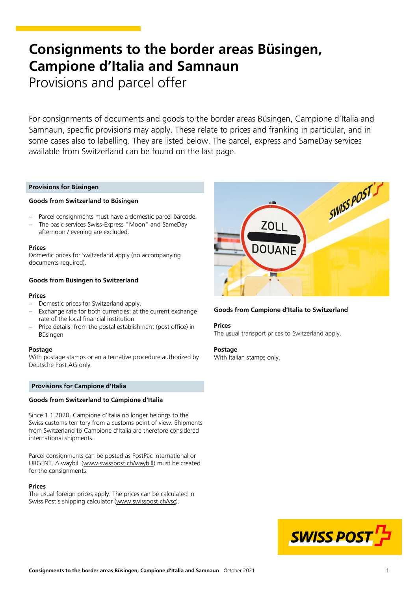# **Consignments to the border areas Büsingen, Campione d'Italia and Samnaun** Provisions and parcel offer

For consignments of documents and goods to the border areas Büsingen, Campione d'Italia and Samnaun, specific provisions may apply. These relate to prices and franking in particular, and in some cases also to labelling. They are listed below. The parcel, express and SameDay services

# **Provisions for Büsingen**

## **Goods from Switzerland to Büsingen**

Parcel consignments must have a domestic parcel barcode.

available from Switzerland can be found on the last page.

 The basic services Swiss-Express "Moon" and SameDay afternoon / evening are excluded.

#### **Prices**

Domestic prices for Switzerland apply (no accompanying documents required).

## **Goods from Büsingen to Switzerland**

#### **Prices**

- Domestic prices for Switzerland apply.
- Exchange rate for both currencies: at the current exchange rate of the local financial institution
- Price details: from the postal establishment (post office) in Büsingen

### **Postage**

With postage stamps or an alternative procedure authorized by Deutsche Post AG only.

## **Provisions for Campione d'Italia**

#### **Goods from Switzerland to Campione d'Italia**

Since 1.1.2020, Campione d'Italia no longer belongs to the Swiss customs territory from a customs point of view. Shipments from Switzerland to Campione d'Italia are therefore considered international shipments.

Parcel consignments can be posted as PostPac International or URGENT. A waybill ([www.swisspost.ch/waybill\)](https://www.swisspost.ch/waybill) must be created for the consignments.

#### **Prices**

The usual foreign prices apply. The prices can be calculated in Swiss Post's shipping calculator ([www.swisspost.ch/vsc\)](https://www.swisspost.ch/vsc).



## **Goods from Campione d'Italia to Switzerland**

#### **Prices**

The usual transport prices to Switzerland apply.

#### **Postage**

With Italian stamps only.

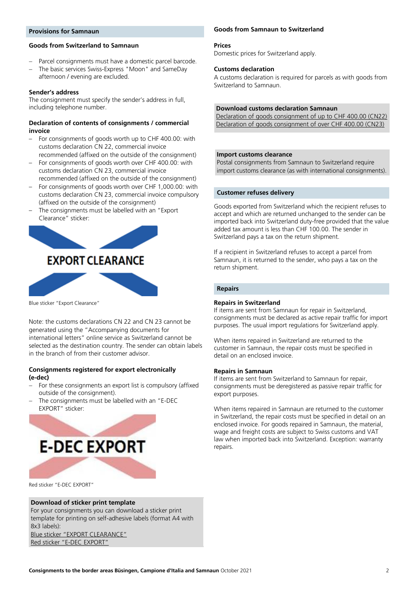## **Provisions for Samnaun**

# **Goods from Switzerland to Samnaun**

- Parcel consignments must have a domestic parcel barcode.
- The basic services Swiss-Express "Moon" and SameDay afternoon / evening are excluded.

## **Sender's address**

The consignment must specify the sender's address in full, including telephone number.

# **Declaration of contents of consignments / commercial invoice**

- For consignments of goods worth up to CHF 400.00: with customs declaration CN 22, commercial invoice recommended (affixed on the outside of the consignment)
- For consignments of goods worth over CHF 400.00: with customs declaration CN 23, commercial invoice
- recommended (affixed on the outside of the consignment) – For consignments of goods worth over CHF 1,000.00: with customs declaration CN 23, commercial invoice compulsory (affixed on the outside of the consignment)
- The consignments must be labelled with an "Export Clearance" sticker:



Blue sticker "Export Clearance"

Note: the customs declarations CN 22 and CN 23 cannot be generated using the "Accompanying documents for international letters" online service as Switzerland cannot be selected as the destination country. The sender can obtain labels in the branch of from their customer advisor.

## **Consignments registered for export electronically (e-dec)**

- For these consignments an export list is compulsory (affixed outside of the consignment).
- The consignments must be labelled with an "E-DEC EXPORT" sticker:



Red sticker "E-DEC EXPORT"

# **Download of sticker print template**

[Blue sticker "EXPORT CLEARANCE"](https://www.post.ch/-/media/post/gk/dokumente/export-clearance.pdf?la=en) For your consignments you can download a sticker print template for printing on self-adhesive labels (format A4 with 8x3 labels):

[Red sticker "E](https://www.post.ch/-/media/post/gk/dokumente/e-dec-export.pdf?la=en)-DEC EXPORT"

# **Goods from Samnaun to Switzerland**

#### **Prices**

Domestic prices for Switzerland apply.

#### **Customs declaration**

A customs declaration is required for parcels as with goods from Switzerland to Samnaun.

# **Download customs declaration Samnaun**

[Declaration of goods consignment of up to CHF 400.00 \(CN22\)](http://www.swisspost.ch/customs-declaration-cn22) [Declaration of goods consignment of over CHF 400.00 \(CN23\)](http://www.swisspost.ch/customs-declaration-cn23)

## **Import customs clearance**

Postal consignments from Samnaun to Switzerland require import customs clearance (as with international consignments).

## **Customer refuses delivery**

Goods exported from Switzerland which the recipient refuses to accept and which are returned unchanged to the sender can be imported back into Switzerland duty-free provided that the value added tax amount is less than CHF 100.00. The sender in Switzerland pays a tax on the return shipment.

If a recipient in Switzerland refuses to accept a parcel from Samnaun, it is returned to the sender, who pays a tax on the return shipment.

#### **Repairs**

#### **Repairs in Switzerland**

If items are sent from Samnaun for repair in Switzerland, consignments must be declared as active repair traffic for import purposes. The usual import regulations for Switzerland apply.

When items repaired in Switzerland are returned to the customer in Samnaun, the repair costs must be specified in detail on an enclosed invoice.

## **Repairs in Samnaun**

If items are sent from Switzerland to Samnaun for repair, consignments must be deregistered as passive repair traffic for export purposes.

When items repaired in Samnaun are returned to the customer in Switzerland, the repair costs must be specified in detail on an enclosed invoice. For goods repaired in Samnaun, the material, wage and freight costs are subject to Swiss customs and VAT law when imported back into Switzerland. Exception: warranty repairs.